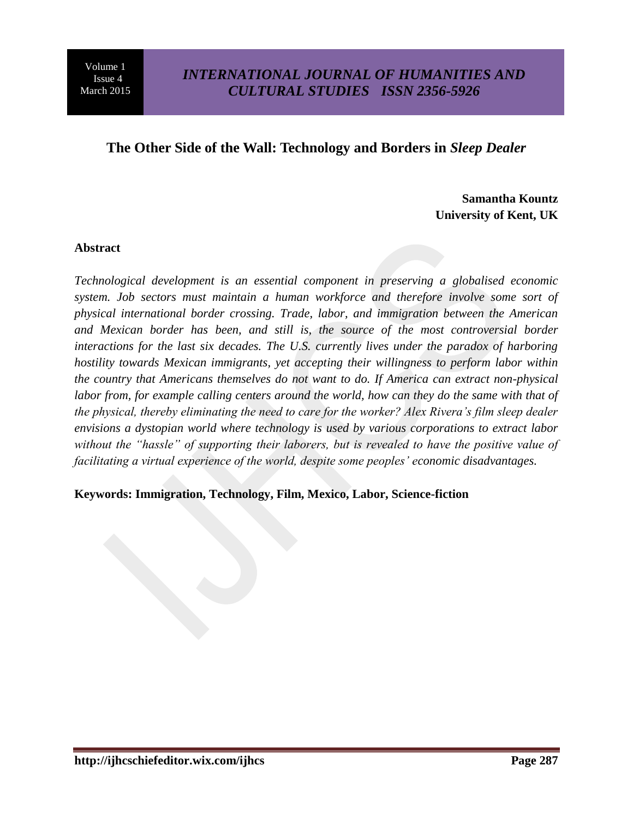٦

#### **The Other Side of the Wall: Technology and Borders in** *Sleep Dealer*

**Samantha Kountz University of Kent, UK**

#### **Abstract**

*Technological development is an essential component in preserving a globalised economic system. Job sectors must maintain a human workforce and therefore involve some sort of physical international border crossing. Trade, labor, and immigration between the American and Mexican border has been, and still is, the source of the most controversial border interactions for the last six decades. The U.S. currently lives under the paradox of harboring hostility towards Mexican immigrants, yet accepting their willingness to perform labor within the country that Americans themselves do not want to do. If America can extract non-physical labor from, for example calling centers around the world, how can they do the same with that of the physical, thereby eliminating the need to care for the worker? Alex Rivera's film sleep dealer envisions a dystopian world where technology is used by various corporations to extract labor without the "hassle" of supporting their laborers, but is revealed to have the positive value of facilitating a virtual experience of the world, despite some peoples' economic disadvantages.*

#### **Keywords: Immigration, Technology, Film, Mexico, Labor, Science-fiction**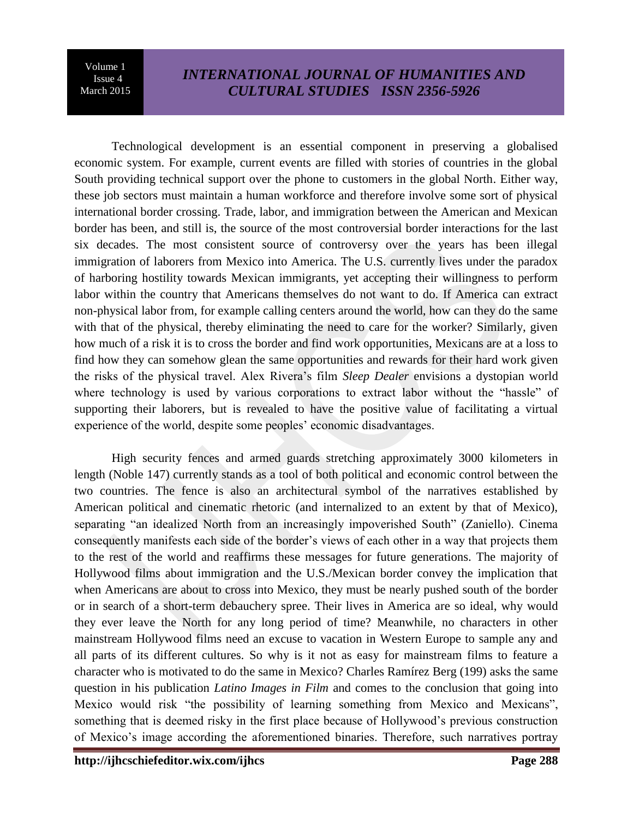٦

# *INTERNATIONAL JOURNAL OF HUMANITIES AND CULTURAL STUDIES ISSN 2356-5926*

Technological development is an essential component in preserving a globalised economic system. For example, current events are filled with stories of countries in the global South providing technical support over the phone to customers in the global North. Either way, these job sectors must maintain a human workforce and therefore involve some sort of physical international border crossing. Trade, labor, and immigration between the American and Mexican border has been, and still is, the source of the most controversial border interactions for the last six decades. The most consistent source of controversy over the years has been illegal immigration of laborers from Mexico into America. The U.S. currently lives under the paradox of harboring hostility towards Mexican immigrants, yet accepting their willingness to perform labor within the country that Americans themselves do not want to do. If America can extract non-physical labor from, for example calling centers around the world, how can they do the same with that of the physical, thereby eliminating the need to care for the worker? Similarly, given how much of a risk it is to cross the border and find work opportunities, Mexicans are at a loss to find how they can somehow glean the same opportunities and rewards for their hard work given the risks of the physical travel. Alex Rivera's film *Sleep Dealer* envisions a dystopian world where technology is used by various corporations to extract labor without the "hassle" of supporting their laborers, but is revealed to have the positive value of facilitating a virtual experience of the world, despite some peoples' economic disadvantages.

High security fences and armed guards stretching approximately 3000 kilometers in length (Noble 147) currently stands as a tool of both political and economic control between the two countries. The fence is also an architectural symbol of the narratives established by American political and cinematic rhetoric (and internalized to an extent by that of Mexico), separating "an idealized North from an increasingly impoverished South" (Zaniello). Cinema consequently manifests each side of the border's views of each other in a way that projects them to the rest of the world and reaffirms these messages for future generations. The majority of Hollywood films about immigration and the U.S./Mexican border convey the implication that when Americans are about to cross into Mexico, they must be nearly pushed south of the border or in search of a short-term debauchery spree. Their lives in America are so ideal, why would they ever leave the North for any long period of time? Meanwhile, no characters in other mainstream Hollywood films need an excuse to vacation in Western Europe to sample any and all parts of its different cultures. So why is it not as easy for mainstream films to feature a character who is motivated to do the same in Mexico? Charles Ramírez Berg (199) asks the same question in his publication *Latino Images in Film* and comes to the conclusion that going into Mexico would risk "the possibility of learning something from Mexico and Mexicans", something that is deemed risky in the first place because of Hollywood's previous construction of Mexico's image according the aforementioned binaries. Therefore, such narratives portray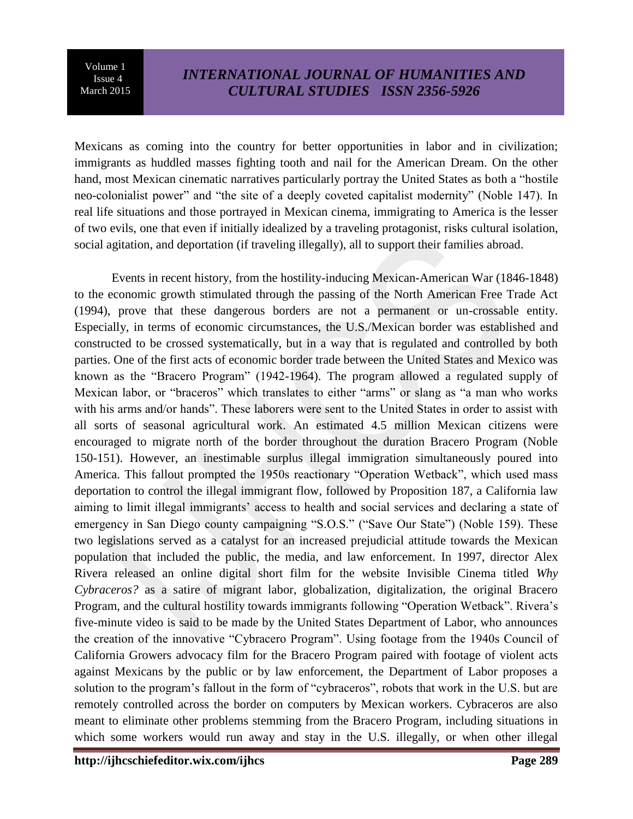٦

Mexicans as coming into the country for better opportunities in labor and in civilization; immigrants as huddled masses fighting tooth and nail for the American Dream. On the other hand, most Mexican cinematic narratives particularly portray the United States as both a "hostile neo-colonialist power" and "the site of a deeply coveted capitalist modernity" (Noble 147). In real life situations and those portrayed in Mexican cinema, immigrating to America is the lesser of two evils, one that even if initially idealized by a traveling protagonist, risks cultural isolation, social agitation, and deportation (if traveling illegally), all to support their families abroad.

Events in recent history, from the hostility-inducing Mexican-American War (1846-1848) to the economic growth stimulated through the passing of the North American Free Trade Act (1994), prove that these dangerous borders are not a permanent or un-crossable entity. Especially, in terms of economic circumstances, the U.S./Mexican border was established and constructed to be crossed systematically, but in a way that is regulated and controlled by both parties. One of the first acts of economic border trade between the United States and Mexico was known as the "Bracero Program" (1942-1964). The program allowed a regulated supply of Mexican labor, or "braceros" which translates to either "arms" or slang as "a man who works with his arms and/or hands". These laborers were sent to the United States in order to assist with all sorts of seasonal agricultural work. An estimated 4.5 million Mexican citizens were encouraged to migrate north of the border throughout the duration Bracero Program (Noble 150-151). However, an inestimable surplus illegal immigration simultaneously poured into America. This fallout prompted the 1950s reactionary "Operation Wetback", which used mass deportation to control the illegal immigrant flow, followed by Proposition 187, a California law aiming to limit illegal immigrants' access to health and social services and declaring a state of emergency in San Diego county campaigning "S.O.S." ("Save Our State") (Noble 159). These two legislations served as a catalyst for an increased prejudicial attitude towards the Mexican population that included the public, the media, and law enforcement. In 1997, director Alex Rivera released an online digital short film for the website Invisible Cinema titled *Why Cybraceros?* as a satire of migrant labor, globalization, digitalization, the original Bracero Program, and the cultural hostility towards immigrants following "Operation Wetback". Rivera's five-minute video is said to be made by the United States Department of Labor, who announces the creation of the innovative "Cybracero Program". Using footage from the 1940s Council of California Growers advocacy film for the Bracero Program paired with footage of violent acts against Mexicans by the public or by law enforcement, the Department of Labor proposes a solution to the program's fallout in the form of "cybraceros", robots that work in the U.S. but are remotely controlled across the border on computers by Mexican workers. Cybraceros are also meant to eliminate other problems stemming from the Bracero Program, including situations in which some workers would run away and stay in the U.S. illegally, or when other illegal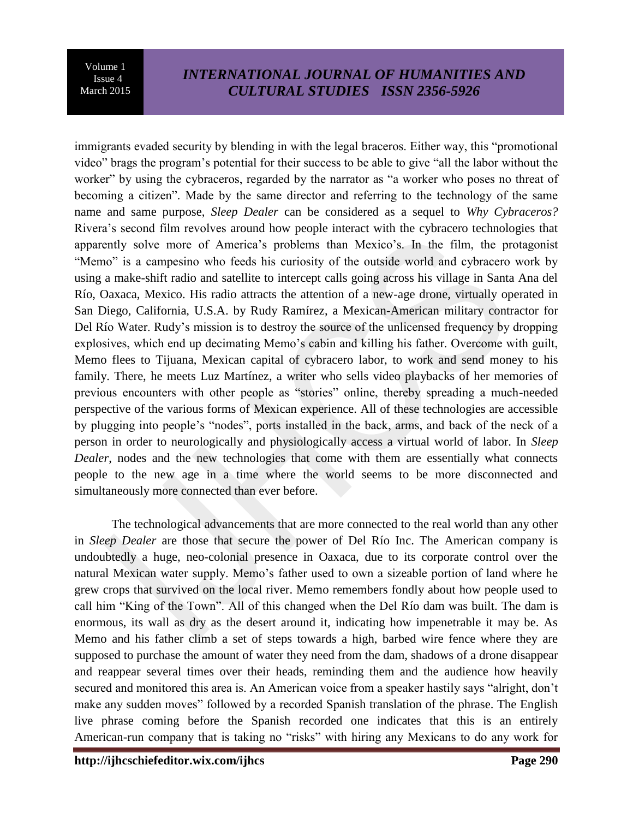٦

## *INTERNATIONAL JOURNAL OF HUMANITIES AND CULTURAL STUDIES ISSN 2356-5926*

immigrants evaded security by blending in with the legal braceros. Either way, this "promotional video" brags the program's potential for their success to be able to give "all the labor without the worker" by using the cybraceros, regarded by the narrator as "a worker who poses no threat of becoming a citizen". Made by the same director and referring to the technology of the same name and same purpose, *Sleep Dealer* can be considered as a sequel to *Why Cybraceros?* Rivera's second film revolves around how people interact with the cybracero technologies that apparently solve more of America's problems than Mexico's. In the film, the protagonist "Memo" is a campesino who feeds his curiosity of the outside world and cybracero work by using a make-shift radio and satellite to intercept calls going across his village in Santa Ana del Río, Oaxaca, Mexico. His radio attracts the attention of a new-age drone, virtually operated in San Diego, California, U.S.A. by Rudy Ramírez, a Mexican-American military contractor for Del Río Water. Rudy's mission is to destroy the source of the unlicensed frequency by dropping explosives, which end up decimating Memo's cabin and killing his father. Overcome with guilt, Memo flees to Tijuana, Mexican capital of cybracero labor, to work and send money to his family. There, he meets Luz Martínez, a writer who sells video playbacks of her memories of previous encounters with other people as "stories" online, thereby spreading a much-needed perspective of the various forms of Mexican experience. All of these technologies are accessible by plugging into people's "nodes", ports installed in the back, arms, and back of the neck of a person in order to neurologically and physiologically access a virtual world of labor. In *Sleep Dealer*, nodes and the new technologies that come with them are essentially what connects people to the new age in a time where the world seems to be more disconnected and simultaneously more connected than ever before.

The technological advancements that are more connected to the real world than any other in *Sleep Dealer* are those that secure the power of Del Río Inc. The American company is undoubtedly a huge, neo-colonial presence in Oaxaca, due to its corporate control over the natural Mexican water supply. Memo's father used to own a sizeable portion of land where he grew crops that survived on the local river. Memo remembers fondly about how people used to call him "King of the Town". All of this changed when the Del Río dam was built. The dam is enormous, its wall as dry as the desert around it, indicating how impenetrable it may be. As Memo and his father climb a set of steps towards a high, barbed wire fence where they are supposed to purchase the amount of water they need from the dam, shadows of a drone disappear and reappear several times over their heads, reminding them and the audience how heavily secured and monitored this area is. An American voice from a speaker hastily says "alright, don't make any sudden moves" followed by a recorded Spanish translation of the phrase. The English live phrase coming before the Spanish recorded one indicates that this is an entirely American-run company that is taking no "risks" with hiring any Mexicans to do any work for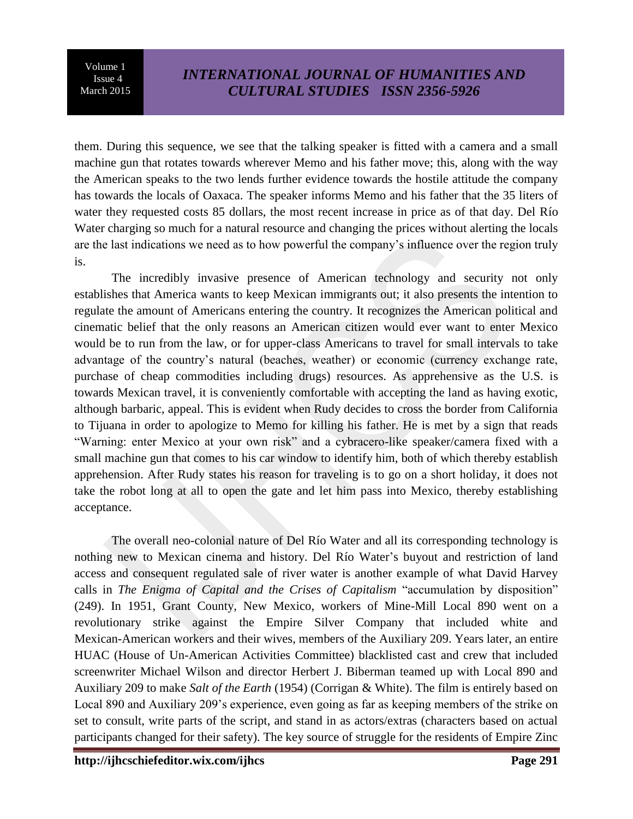٦

them. During this sequence, we see that the talking speaker is fitted with a camera and a small machine gun that rotates towards wherever Memo and his father move; this, along with the way the American speaks to the two lends further evidence towards the hostile attitude the company has towards the locals of Oaxaca. The speaker informs Memo and his father that the 35 liters of water they requested costs 85 dollars, the most recent increase in price as of that day. Del Río Water charging so much for a natural resource and changing the prices without alerting the locals are the last indications we need as to how powerful the company's influence over the region truly is.

The incredibly invasive presence of American technology and security not only establishes that America wants to keep Mexican immigrants out; it also presents the intention to regulate the amount of Americans entering the country. It recognizes the American political and cinematic belief that the only reasons an American citizen would ever want to enter Mexico would be to run from the law, or for upper-class Americans to travel for small intervals to take advantage of the country's natural (beaches, weather) or economic (currency exchange rate, purchase of cheap commodities including drugs) resources. As apprehensive as the U.S. is towards Mexican travel, it is conveniently comfortable with accepting the land as having exotic, although barbaric, appeal. This is evident when Rudy decides to cross the border from California to Tijuana in order to apologize to Memo for killing his father. He is met by a sign that reads "Warning: enter Mexico at your own risk" and a cybracero-like speaker/camera fixed with a small machine gun that comes to his car window to identify him, both of which thereby establish apprehension. After Rudy states his reason for traveling is to go on a short holiday, it does not take the robot long at all to open the gate and let him pass into Mexico, thereby establishing acceptance.

The overall neo-colonial nature of Del Río Water and all its corresponding technology is nothing new to Mexican cinema and history. Del Río Water's buyout and restriction of land access and consequent regulated sale of river water is another example of what David Harvey calls in *The Enigma of Capital and the Crises of Capitalism* "accumulation by disposition" (249). In 1951, Grant County, New Mexico, workers of Mine-Mill Local 890 went on a revolutionary strike against the Empire Silver Company that included white and Mexican-American workers and their wives, members of the Auxiliary 209. Years later, an entire HUAC (House of Un-American Activities Committee) blacklisted cast and crew that included screenwriter Michael Wilson and director Herbert J. Biberman teamed up with Local 890 and Auxiliary 209 to make *Salt of the Earth* (1954) (Corrigan & White). The film is entirely based on Local 890 and Auxiliary 209's experience, even going as far as keeping members of the strike on set to consult, write parts of the script, and stand in as actors/extras (characters based on actual participants changed for their safety). The key source of struggle for the residents of Empire Zinc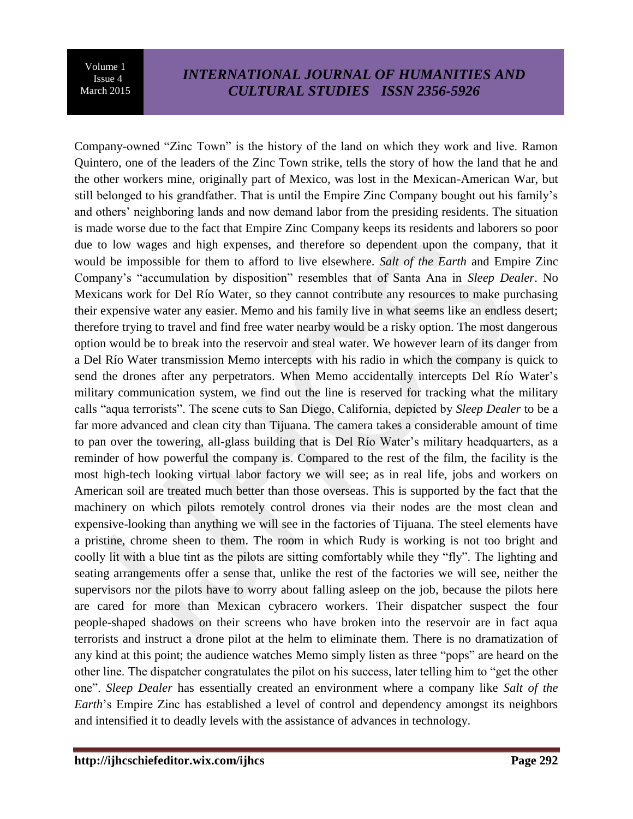٦

Company-owned "Zinc Town" is the history of the land on which they work and live. Ramon Quintero, one of the leaders of the Zinc Town strike, tells the story of how the land that he and the other workers mine, originally part of Mexico, was lost in the Mexican-American War, but still belonged to his grandfather. That is until the Empire Zinc Company bought out his family's and others' neighboring lands and now demand labor from the presiding residents. The situation is made worse due to the fact that Empire Zinc Company keeps its residents and laborers so poor due to low wages and high expenses, and therefore so dependent upon the company, that it would be impossible for them to afford to live elsewhere. *Salt of the Earth* and Empire Zinc Company's "accumulation by disposition" resembles that of Santa Ana in *Sleep Dealer*. No Mexicans work for Del Río Water, so they cannot contribute any resources to make purchasing their expensive water any easier. Memo and his family live in what seems like an endless desert; therefore trying to travel and find free water nearby would be a risky option. The most dangerous option would be to break into the reservoir and steal water. We however learn of its danger from a Del Río Water transmission Memo intercepts with his radio in which the company is quick to send the drones after any perpetrators. When Memo accidentally intercepts Del Río Water's military communication system, we find out the line is reserved for tracking what the military calls "aqua terrorists". The scene cuts to San Diego, California, depicted by *Sleep Dealer* to be a far more advanced and clean city than Tijuana. The camera takes a considerable amount of time to pan over the towering, all-glass building that is Del Río Water's military headquarters, as a reminder of how powerful the company is. Compared to the rest of the film, the facility is the most high-tech looking virtual labor factory we will see; as in real life, jobs and workers on American soil are treated much better than those overseas. This is supported by the fact that the machinery on which pilots remotely control drones via their nodes are the most clean and expensive-looking than anything we will see in the factories of Tijuana. The steel elements have a pristine, chrome sheen to them. The room in which Rudy is working is not too bright and coolly lit with a blue tint as the pilots are sitting comfortably while they "fly". The lighting and seating arrangements offer a sense that, unlike the rest of the factories we will see, neither the supervisors nor the pilots have to worry about falling asleep on the job, because the pilots here are cared for more than Mexican cybracero workers. Their dispatcher suspect the four people-shaped shadows on their screens who have broken into the reservoir are in fact aqua terrorists and instruct a drone pilot at the helm to eliminate them. There is no dramatization of any kind at this point; the audience watches Memo simply listen as three "pops" are heard on the other line. The dispatcher congratulates the pilot on his success, later telling him to "get the other one". *Sleep Dealer* has essentially created an environment where a company like *Salt of the Earth*'s Empire Zinc has established a level of control and dependency amongst its neighbors and intensified it to deadly levels with the assistance of advances in technology.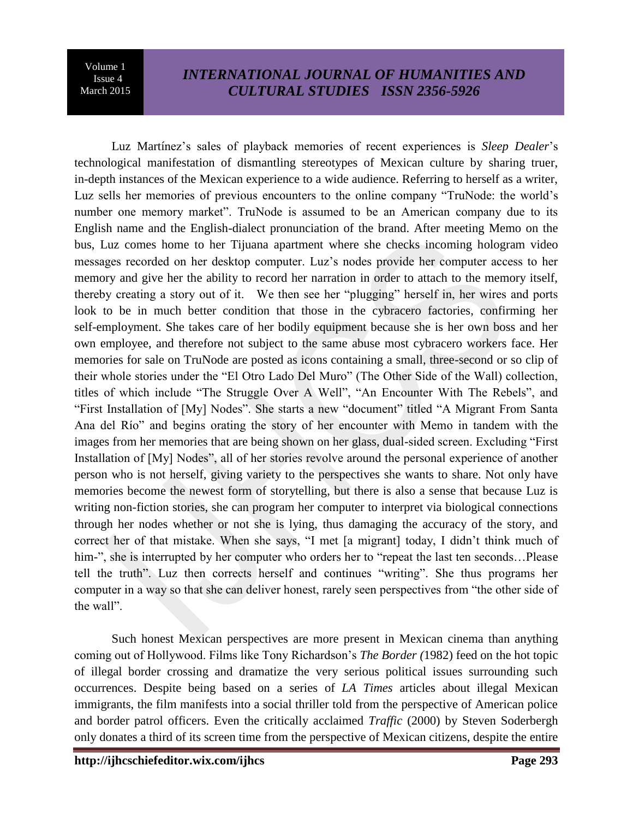٦

Luz Martínez's sales of playback memories of recent experiences is *Sleep Dealer*'s technological manifestation of dismantling stereotypes of Mexican culture by sharing truer, in-depth instances of the Mexican experience to a wide audience. Referring to herself as a writer, Luz sells her memories of previous encounters to the online company "TruNode: the world's number one memory market". TruNode is assumed to be an American company due to its English name and the English-dialect pronunciation of the brand. After meeting Memo on the bus, Luz comes home to her Tijuana apartment where she checks incoming hologram video messages recorded on her desktop computer. Luz's nodes provide her computer access to her memory and give her the ability to record her narration in order to attach to the memory itself, thereby creating a story out of it. We then see her "plugging" herself in, her wires and ports look to be in much better condition that those in the cybracero factories, confirming her self-employment. She takes care of her bodily equipment because she is her own boss and her own employee, and therefore not subject to the same abuse most cybracero workers face. Her memories for sale on TruNode are posted as icons containing a small, three-second or so clip of their whole stories under the "El Otro Lado Del Muro" (The Other Side of the Wall) collection, titles of which include "The Struggle Over A Well", "An Encounter With The Rebels", and "First Installation of [My] Nodes". She starts a new "document" titled "A Migrant From Santa Ana del Río" and begins orating the story of her encounter with Memo in tandem with the images from her memories that are being shown on her glass, dual-sided screen. Excluding "First Installation of [My] Nodes", all of her stories revolve around the personal experience of another person who is not herself, giving variety to the perspectives she wants to share. Not only have memories become the newest form of storytelling, but there is also a sense that because Luz is writing non-fiction stories, she can program her computer to interpret via biological connections through her nodes whether or not she is lying, thus damaging the accuracy of the story, and correct her of that mistake. When she says, "I met [a migrant] today, I didn't think much of him-", she is interrupted by her computer who orders her to "repeat the last ten seconds...Please tell the truth". Luz then corrects herself and continues "writing". She thus programs her computer in a way so that she can deliver honest, rarely seen perspectives from "the other side of the wall".

Such honest Mexican perspectives are more present in Mexican cinema than anything coming out of Hollywood. Films like Tony Richardson's *The Border (*1982) feed on the hot topic of illegal border crossing and dramatize the very serious political issues surrounding such occurrences. Despite being based on a series of *LA Times* articles about illegal Mexican immigrants, the film manifests into a social thriller told from the perspective of American police and border patrol officers. Even the critically acclaimed *Traffic* (2000) by Steven Soderbergh only donates a third of its screen time from the perspective of Mexican citizens, despite the entire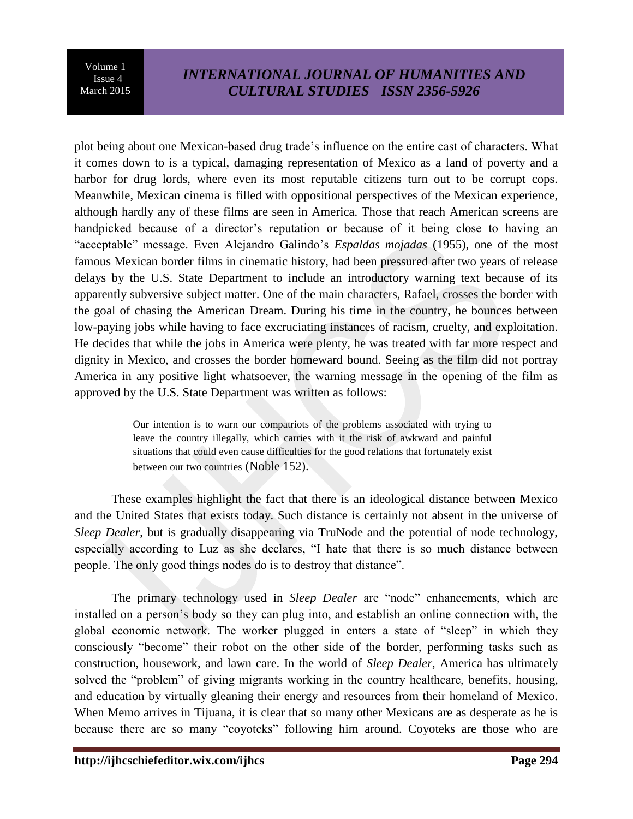٦

# *INTERNATIONAL JOURNAL OF HUMANITIES AND CULTURAL STUDIES ISSN 2356-5926*

plot being about one Mexican-based drug trade's influence on the entire cast of characters. What it comes down to is a typical, damaging representation of Mexico as a land of poverty and a harbor for drug lords, where even its most reputable citizens turn out to be corrupt cops. Meanwhile, Mexican cinema is filled with oppositional perspectives of the Mexican experience, although hardly any of these films are seen in America. Those that reach American screens are handpicked because of a director's reputation or because of it being close to having an "acceptable" message. Even Alejandro Galindo's *Espaldas mojadas* (1955), one of the most famous Mexican border films in cinematic history, had been pressured after two years of release delays by the U.S. State Department to include an introductory warning text because of its apparently subversive subject matter. One of the main characters, Rafael, crosses the border with the goal of chasing the American Dream. During his time in the country, he bounces between low-paying jobs while having to face excruciating instances of racism, cruelty, and exploitation. He decides that while the jobs in America were plenty, he was treated with far more respect and dignity in Mexico, and crosses the border homeward bound. Seeing as the film did not portray America in any positive light whatsoever, the warning message in the opening of the film as approved by the U.S. State Department was written as follows:

> Our intention is to warn our compatriots of the problems associated with trying to leave the country illegally, which carries with it the risk of awkward and painful situations that could even cause difficulties for the good relations that fortunately exist between our two countries (Noble 152).

These examples highlight the fact that there is an ideological distance between Mexico and the United States that exists today. Such distance is certainly not absent in the universe of *Sleep Dealer*, but is gradually disappearing via TruNode and the potential of node technology, especially according to Luz as she declares, "I hate that there is so much distance between people. The only good things nodes do is to destroy that distance".

The primary technology used in *Sleep Dealer* are "node" enhancements, which are installed on a person's body so they can plug into, and establish an online connection with, the global economic network. The worker plugged in enters a state of "sleep" in which they consciously "become" their robot on the other side of the border, performing tasks such as construction, housework, and lawn care. In the world of *Sleep Dealer*, America has ultimately solved the "problem" of giving migrants working in the country healthcare, benefits, housing, and education by virtually gleaning their energy and resources from their homeland of Mexico. When Memo arrives in Tijuana, it is clear that so many other Mexicans are as desperate as he is because there are so many "coyoteks" following him around. Coyoteks are those who are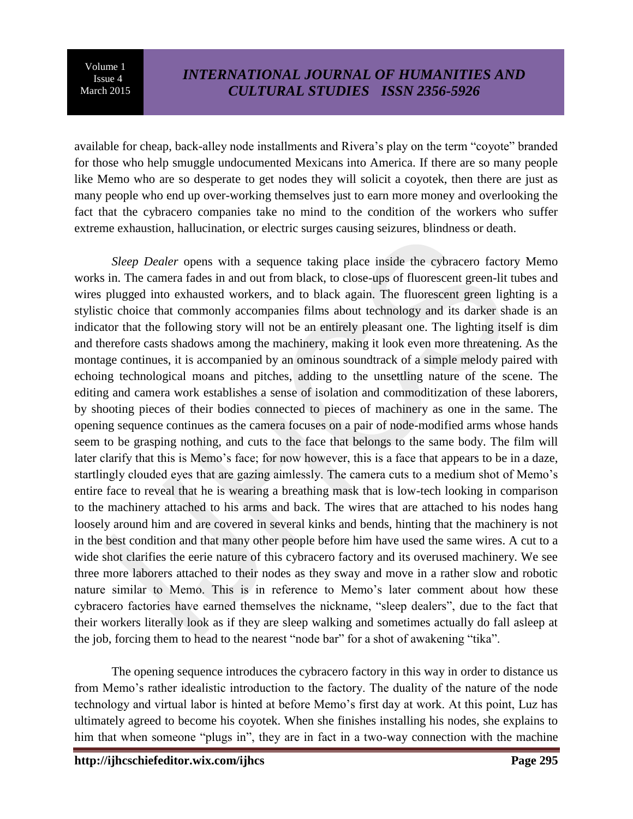٦

available for cheap, back-alley node installments and Rivera's play on the term "coyote" branded for those who help smuggle undocumented Mexicans into America. If there are so many people like Memo who are so desperate to get nodes they will solicit a coyotek, then there are just as many people who end up over-working themselves just to earn more money and overlooking the fact that the cybracero companies take no mind to the condition of the workers who suffer extreme exhaustion, hallucination, or electric surges causing seizures, blindness or death.

*Sleep Dealer* opens with a sequence taking place inside the cybracero factory Memo works in. The camera fades in and out from black, to close-ups of fluorescent green-lit tubes and wires plugged into exhausted workers, and to black again. The fluorescent green lighting is a stylistic choice that commonly accompanies films about technology and its darker shade is an indicator that the following story will not be an entirely pleasant one. The lighting itself is dim and therefore casts shadows among the machinery, making it look even more threatening. As the montage continues, it is accompanied by an ominous soundtrack of a simple melody paired with echoing technological moans and pitches, adding to the unsettling nature of the scene. The editing and camera work establishes a sense of isolation and commoditization of these laborers, by shooting pieces of their bodies connected to pieces of machinery as one in the same. The opening sequence continues as the camera focuses on a pair of node-modified arms whose hands seem to be grasping nothing, and cuts to the face that belongs to the same body. The film will later clarify that this is Memo's face; for now however, this is a face that appears to be in a daze, startlingly clouded eyes that are gazing aimlessly. The camera cuts to a medium shot of Memo's entire face to reveal that he is wearing a breathing mask that is low-tech looking in comparison to the machinery attached to his arms and back. The wires that are attached to his nodes hang loosely around him and are covered in several kinks and bends, hinting that the machinery is not in the best condition and that many other people before him have used the same wires. A cut to a wide shot clarifies the eerie nature of this cybracero factory and its overused machinery. We see three more laborers attached to their nodes as they sway and move in a rather slow and robotic nature similar to Memo. This is in reference to Memo's later comment about how these cybracero factories have earned themselves the nickname, "sleep dealers", due to the fact that their workers literally look as if they are sleep walking and sometimes actually do fall asleep at the job, forcing them to head to the nearest "node bar" for a shot of awakening "tika".

The opening sequence introduces the cybracero factory in this way in order to distance us from Memo's rather idealistic introduction to the factory. The duality of the nature of the node technology and virtual labor is hinted at before Memo's first day at work. At this point, Luz has ultimately agreed to become his coyotek. When she finishes installing his nodes, she explains to him that when someone "plugs in", they are in fact in a two-way connection with the machine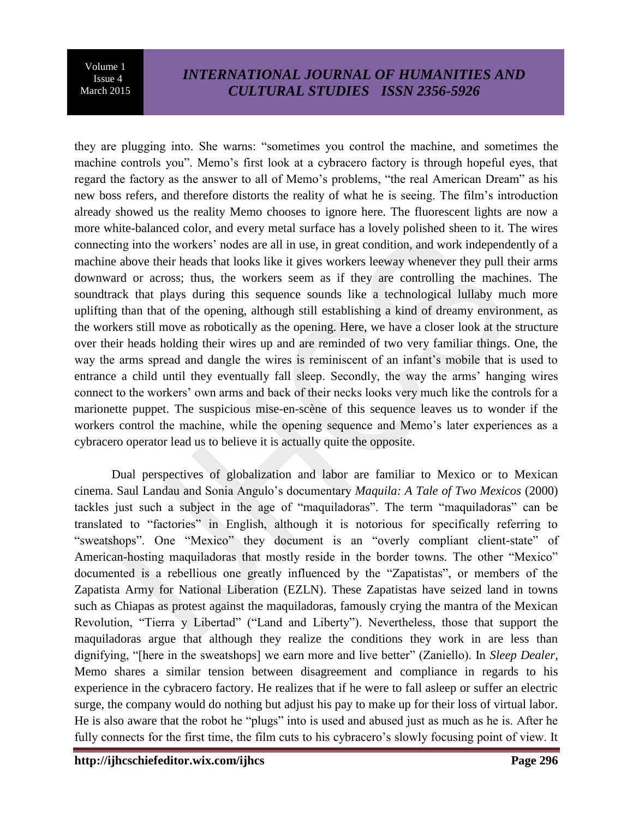٦

# *INTERNATIONAL JOURNAL OF HUMANITIES AND CULTURAL STUDIES ISSN 2356-5926*

they are plugging into. She warns: "sometimes you control the machine, and sometimes the machine controls you". Memo's first look at a cybracero factory is through hopeful eyes, that regard the factory as the answer to all of Memo's problems, "the real American Dream" as his new boss refers, and therefore distorts the reality of what he is seeing. The film's introduction already showed us the reality Memo chooses to ignore here. The fluorescent lights are now a more white-balanced color, and every metal surface has a lovely polished sheen to it. The wires connecting into the workers' nodes are all in use, in great condition, and work independently of a machine above their heads that looks like it gives workers leeway whenever they pull their arms downward or across; thus, the workers seem as if they are controlling the machines. The soundtrack that plays during this sequence sounds like a technological lullaby much more uplifting than that of the opening, although still establishing a kind of dreamy environment, as the workers still move as robotically as the opening. Here, we have a closer look at the structure over their heads holding their wires up and are reminded of two very familiar things. One, the way the arms spread and dangle the wires is reminiscent of an infant's mobile that is used to entrance a child until they eventually fall sleep. Secondly, the way the arms' hanging wires connect to the workers' own arms and back of their necks looks very much like the controls for a marionette puppet. The suspicious mise-en-scène of this sequence leaves us to wonder if the workers control the machine, while the opening sequence and Memo's later experiences as a cybracero operator lead us to believe it is actually quite the opposite.

Dual perspectives of globalization and labor are familiar to Mexico or to Mexican cinema. Saul Landau and Sonia Angulo's documentary *Maquila: A Tale of Two Mexicos* (2000) tackles just such a subject in the age of "maquiladoras". The term "maquiladoras" can be translated to "factories" in English, although it is notorious for specifically referring to "sweatshops". One "Mexico" they document is an "overly compliant client-state" of American-hosting maquiladoras that mostly reside in the border towns. The other "Mexico" documented is a rebellious one greatly influenced by the "Zapatistas", or members of the Zapatista Army for National Liberation (EZLN). These Zapatistas have seized land in towns such as Chiapas as protest against the maquiladoras, famously crying the mantra of the Mexican Revolution, "Tierra y Libertad" ("Land and Liberty"). Nevertheless, those that support the maquiladoras argue that although they realize the conditions they work in are less than dignifying, "[here in the sweatshops] we earn more and live better" (Zaniello). In *Sleep Dealer*, Memo shares a similar tension between disagreement and compliance in regards to his experience in the cybracero factory. He realizes that if he were to fall asleep or suffer an electric surge, the company would do nothing but adjust his pay to make up for their loss of virtual labor. He is also aware that the robot he "plugs" into is used and abused just as much as he is. After he fully connects for the first time, the film cuts to his cybracero's slowly focusing point of view. It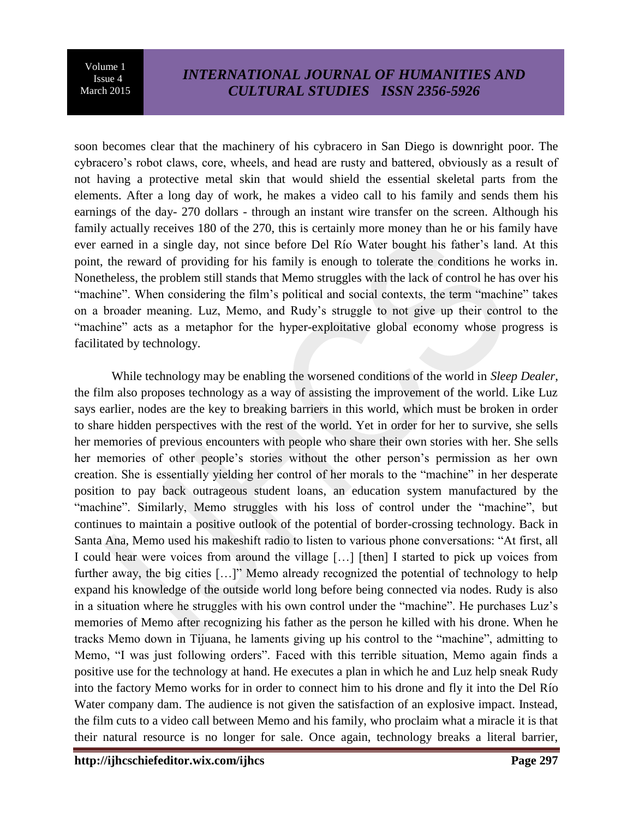٦

## *INTERNATIONAL JOURNAL OF HUMANITIES AND CULTURAL STUDIES ISSN 2356-5926*

soon becomes clear that the machinery of his cybracero in San Diego is downright poor. The cybracero's robot claws, core, wheels, and head are rusty and battered, obviously as a result of not having a protective metal skin that would shield the essential skeletal parts from the elements. After a long day of work, he makes a video call to his family and sends them his earnings of the day- 270 dollars - through an instant wire transfer on the screen. Although his family actually receives 180 of the 270, this is certainly more money than he or his family have ever earned in a single day, not since before Del Río Water bought his father's land. At this point, the reward of providing for his family is enough to tolerate the conditions he works in. Nonetheless, the problem still stands that Memo struggles with the lack of control he has over his "machine". When considering the film's political and social contexts, the term "machine" takes on a broader meaning. Luz, Memo, and Rudy's struggle to not give up their control to the "machine" acts as a metaphor for the hyper-exploitative global economy whose progress is facilitated by technology.

While technology may be enabling the worsened conditions of the world in *Sleep Dealer*, the film also proposes technology as a way of assisting the improvement of the world. Like Luz says earlier, nodes are the key to breaking barriers in this world, which must be broken in order to share hidden perspectives with the rest of the world. Yet in order for her to survive, she sells her memories of previous encounters with people who share their own stories with her. She sells her memories of other people's stories without the other person's permission as her own creation. She is essentially yielding her control of her morals to the "machine" in her desperate position to pay back outrageous student loans, an education system manufactured by the "machine". Similarly, Memo struggles with his loss of control under the "machine", but continues to maintain a positive outlook of the potential of border-crossing technology. Back in Santa Ana, Memo used his makeshift radio to listen to various phone conversations: "At first, all I could hear were voices from around the village […] [then] I started to pick up voices from further away, the big cities [...]" Memo already recognized the potential of technology to help expand his knowledge of the outside world long before being connected via nodes. Rudy is also in a situation where he struggles with his own control under the "machine". He purchases Luz's memories of Memo after recognizing his father as the person he killed with his drone. When he tracks Memo down in Tijuana, he laments giving up his control to the "machine", admitting to Memo, "I was just following orders". Faced with this terrible situation, Memo again finds a positive use for the technology at hand. He executes a plan in which he and Luz help sneak Rudy into the factory Memo works for in order to connect him to his drone and fly it into the Del Río Water company dam. The audience is not given the satisfaction of an explosive impact. Instead, the film cuts to a video call between Memo and his family, who proclaim what a miracle it is that their natural resource is no longer for sale. Once again, technology breaks a literal barrier,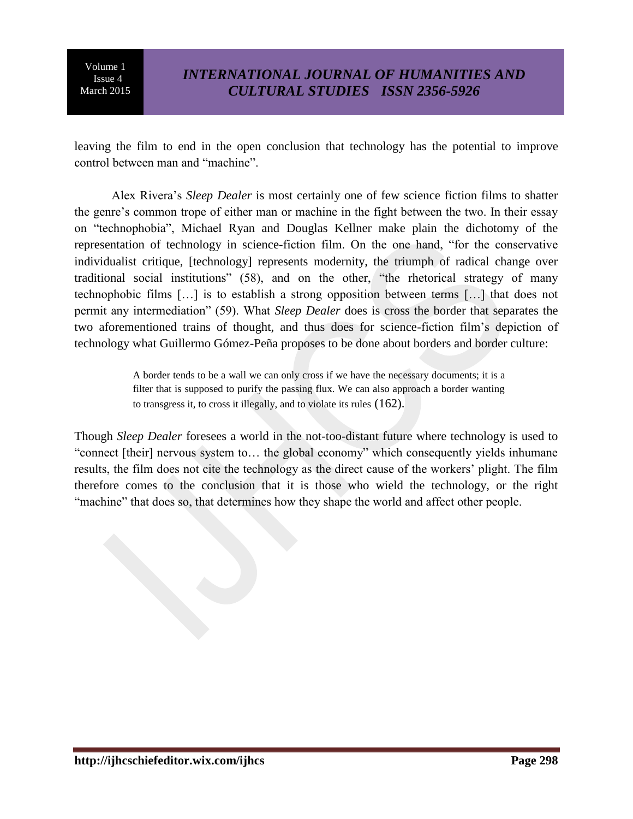٦

leaving the film to end in the open conclusion that technology has the potential to improve control between man and "machine".

Alex Rivera's *Sleep Dealer* is most certainly one of few science fiction films to shatter the genre's common trope of either man or machine in the fight between the two. In their essay on "technophobia", Michael Ryan and Douglas Kellner make plain the dichotomy of the representation of technology in science-fiction film. On the one hand, "for the conservative individualist critique, [technology] represents modernity, the triumph of radical change over traditional social institutions" (58), and on the other, "the rhetorical strategy of many technophobic films […] is to establish a strong opposition between terms […] that does not permit any intermediation" (59). What *Sleep Dealer* does is cross the border that separates the two aforementioned trains of thought, and thus does for science-fiction film's depiction of technology what Guillermo Gómez-Peña proposes to be done about borders and border culture:

> A border tends to be a wall we can only cross if we have the necessary documents; it is a filter that is supposed to purify the passing flux. We can also approach a border wanting to transgress it, to cross it illegally, and to violate its rules (162).

Though *Sleep Dealer* foresees a world in the not-too-distant future where technology is used to "connect [their] nervous system to… the global economy" which consequently yields inhumane results, the film does not cite the technology as the direct cause of the workers' plight. The film therefore comes to the conclusion that it is those who wield the technology, or the right "machine" that does so, that determines how they shape the world and affect other people.